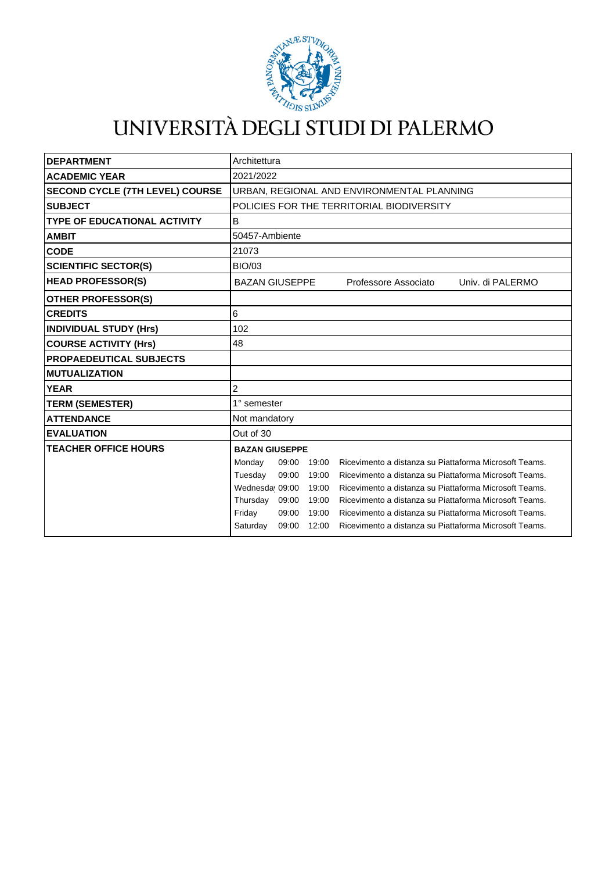

## UNIVERSITÀ DEGLI STUDI DI PALERMO

| <b>DEPARTMENT</b>                      | Architettura                                                                         |
|----------------------------------------|--------------------------------------------------------------------------------------|
| <b>ACADEMIC YEAR</b>                   | 2021/2022                                                                            |
| <b>SECOND CYCLE (7TH LEVEL) COURSE</b> | URBAN, REGIONAL AND ENVIRONMENTAL PLANNING                                           |
| <b>SUBJECT</b>                         | POLICIES FOR THE TERRITORIAL BIODIVERSITY                                            |
| <b>TYPE OF EDUCATIONAL ACTIVITY</b>    | B                                                                                    |
| <b>AMBIT</b>                           | 50457-Ambiente                                                                       |
| <b>CODE</b>                            | 21073                                                                                |
| <b>SCIENTIFIC SECTOR(S)</b>            | <b>BIO/03</b>                                                                        |
| <b>HEAD PROFESSOR(S)</b>               | <b>BAZAN GIUSEPPE</b><br>Professore Associato<br>Univ. di PALERMO                    |
| <b>OTHER PROFESSOR(S)</b>              |                                                                                      |
| <b>CREDITS</b>                         | 6                                                                                    |
| <b>INDIVIDUAL STUDY (Hrs)</b>          | 102                                                                                  |
| <b>COURSE ACTIVITY (Hrs)</b>           | 48                                                                                   |
| <b>PROPAEDEUTICAL SUBJECTS</b>         |                                                                                      |
| <b>MUTUALIZATION</b>                   |                                                                                      |
| <b>YEAR</b>                            | 2                                                                                    |
| <b>TERM (SEMESTER)</b>                 | 1° semester                                                                          |
| <b>ATTENDANCE</b>                      | Not mandatory                                                                        |
| <b>EVALUATION</b>                      | Out of 30                                                                            |
| <b>TEACHER OFFICE HOURS</b>            | <b>BAZAN GIUSEPPE</b>                                                                |
|                                        | Ricevimento a distanza su Piattaforma Microsoft Teams.<br>Monday<br>09:00<br>19:00   |
|                                        | Tuesday<br>Ricevimento a distanza su Piattaforma Microsoft Teams.<br>09:00<br>19:00  |
|                                        | Wednesday 09:00<br>Ricevimento a distanza su Piattaforma Microsoft Teams.<br>19:00   |
|                                        | Thursday 09:00<br>Ricevimento a distanza su Piattaforma Microsoft Teams.<br>19:00    |
|                                        | Friday<br>09:00<br>19:00<br>Ricevimento a distanza su Piattaforma Microsoft Teams.   |
|                                        | 09:00<br>12:00<br>Ricevimento a distanza su Piattaforma Microsoft Teams.<br>Saturday |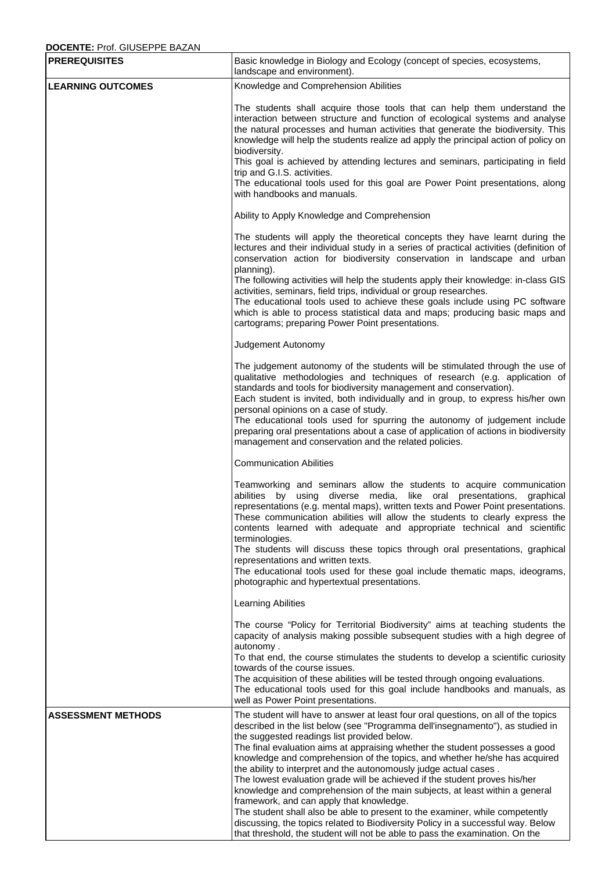## **DOCENTE:** Prof. GIUSEPPE BAZAN

| <b>PREREQUISITES</b>      | Basic knowledge in Biology and Ecology (concept of species, ecosystems,<br>landscape and environment).                                                                                                                                                                                                                                                                                                                                                                                                                                                                                                                                                                                                                                                                                                                                                                                                              |
|---------------------------|---------------------------------------------------------------------------------------------------------------------------------------------------------------------------------------------------------------------------------------------------------------------------------------------------------------------------------------------------------------------------------------------------------------------------------------------------------------------------------------------------------------------------------------------------------------------------------------------------------------------------------------------------------------------------------------------------------------------------------------------------------------------------------------------------------------------------------------------------------------------------------------------------------------------|
| <b>LEARNING OUTCOMES</b>  | Knowledge and Comprehension Abilities                                                                                                                                                                                                                                                                                                                                                                                                                                                                                                                                                                                                                                                                                                                                                                                                                                                                               |
|                           | The students shall acquire those tools that can help them understand the<br>interaction between structure and function of ecological systems and analyse<br>the natural processes and human activities that generate the biodiversity. This<br>knowledge will help the students realize ad apply the principal action of policy on<br>biodiversity.<br>This goal is achieved by attending lectures and seminars, participating in field<br>trip and G.I.S. activities.<br>The educational tools used for this goal are Power Point presentations, along<br>with handbooks and manuals.                                                                                                                                                                                                                                                                                                                              |
|                           | Ability to Apply Knowledge and Comprehension                                                                                                                                                                                                                                                                                                                                                                                                                                                                                                                                                                                                                                                                                                                                                                                                                                                                        |
|                           | The students will apply the theoretical concepts they have learnt during the<br>lectures and their individual study in a series of practical activities (definition of<br>conservation action for biodiversity conservation in landscape and urban<br>planning).<br>The following activities will help the students apply their knowledge: in-class GIS<br>activities, seminars, field trips, individual or group researches.<br>The educational tools used to achieve these goals include using PC software<br>which is able to process statistical data and maps; producing basic maps and<br>cartograms; preparing Power Point presentations.                                                                                                                                                                                                                                                                    |
|                           | Judgement Autonomy                                                                                                                                                                                                                                                                                                                                                                                                                                                                                                                                                                                                                                                                                                                                                                                                                                                                                                  |
|                           | The judgement autonomy of the students will be stimulated through the use of<br>qualitative methodologies and techniques of research (e.g. application of<br>standards and tools for biodiversity management and conservation).<br>Each student is invited, both individually and in group, to express his/her own<br>personal opinions on a case of study.<br>The educational tools used for spurring the autonomy of judgement include<br>preparing oral presentations about a case of application of actions in biodiversity<br>management and conservation and the related policies.                                                                                                                                                                                                                                                                                                                            |
|                           | <b>Communication Abilities</b>                                                                                                                                                                                                                                                                                                                                                                                                                                                                                                                                                                                                                                                                                                                                                                                                                                                                                      |
|                           | Teamworking and seminars allow the students to acquire communication<br>abilities by using diverse media, like oral presentations, graphical<br>representations (e.g. mental maps), written texts and Power Point presentations.<br>These communication abilities will allow the students to clearly express the<br>contents learned with adequate and appropriate technical and scientific<br>terminologies.<br>The students will discuss these topics through oral presentations, graphical<br>representations and written texts.<br>The educational tools used for these goal include thematic maps, ideograms,<br>photographic and hypertextual presentations.                                                                                                                                                                                                                                                  |
|                           | Learning Abilities                                                                                                                                                                                                                                                                                                                                                                                                                                                                                                                                                                                                                                                                                                                                                                                                                                                                                                  |
|                           | The course "Policy for Territorial Biodiversity" aims at teaching students the<br>capacity of analysis making possible subsequent studies with a high degree of<br>autonomy.<br>To that end, the course stimulates the students to develop a scientific curiosity<br>towards of the course issues.<br>The acquisition of these abilities will be tested through ongoing evaluations.<br>The educational tools used for this goal include handbooks and manuals, as<br>well as Power Point presentations.                                                                                                                                                                                                                                                                                                                                                                                                            |
| <b>ASSESSMENT METHODS</b> | The student will have to answer at least four oral questions, on all of the topics<br>described in the list below (see "Programma dell'insegnamento"), as studied in<br>the suggested readings list provided below.<br>The final evaluation aims at appraising whether the student possesses a good<br>knowledge and comprehension of the topics, and whether he/she has acquired<br>the ability to interpret and the autonomously judge actual cases.<br>The lowest evaluation grade will be achieved if the student proves his/her<br>knowledge and comprehension of the main subjects, at least within a general<br>framework, and can apply that knowledge.<br>The student shall also be able to present to the examiner, while competently<br>discussing, the topics related to Biodiversity Policy in a successful way. Below<br>that threshold, the student will not be able to pass the examination. On the |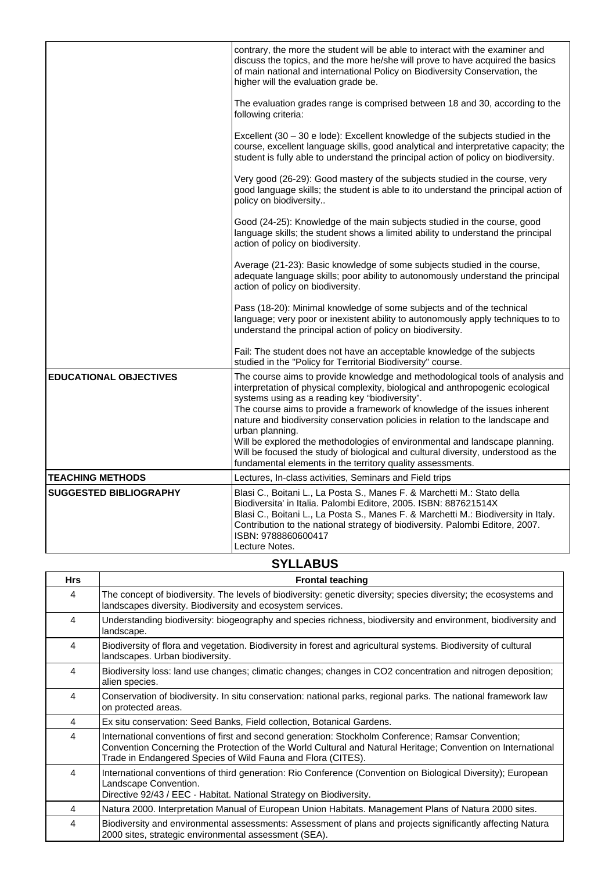|                               | contrary, the more the student will be able to interact with the examiner and<br>discuss the topics, and the more he/she will prove to have acquired the basics<br>of main national and international Policy on Biodiversity Conservation, the<br>higher will the evaluation grade be.                                                                                            |
|-------------------------------|-----------------------------------------------------------------------------------------------------------------------------------------------------------------------------------------------------------------------------------------------------------------------------------------------------------------------------------------------------------------------------------|
|                               | The evaluation grades range is comprised between 18 and 30, according to the<br>following criteria:                                                                                                                                                                                                                                                                               |
|                               | Excellent (30 - 30 e lode): Excellent knowledge of the subjects studied in the<br>course, excellent language skills, good analytical and interpretative capacity; the<br>student is fully able to understand the principal action of policy on biodiversity.                                                                                                                      |
|                               | Very good (26-29): Good mastery of the subjects studied in the course, very<br>good language skills; the student is able to ito understand the principal action of<br>policy on biodiversity                                                                                                                                                                                      |
|                               | Good (24-25): Knowledge of the main subjects studied in the course, good<br>language skills; the student shows a limited ability to understand the principal<br>action of policy on biodiversity.                                                                                                                                                                                 |
|                               | Average (21-23): Basic knowledge of some subjects studied in the course,<br>adequate language skills; poor ability to autonomously understand the principal<br>action of policy on biodiversity.                                                                                                                                                                                  |
|                               | Pass (18-20): Minimal knowledge of some subjects and of the technical<br>language; very poor or inexistent ability to autonomously apply techniques to to<br>understand the principal action of policy on biodiversity.                                                                                                                                                           |
|                               | Fail: The student does not have an acceptable knowledge of the subjects<br>studied in the "Policy for Territorial Biodiversity" course.                                                                                                                                                                                                                                           |
| <b>EDUCATIONAL OBJECTIVES</b> | The course aims to provide knowledge and methodological tools of analysis and<br>interpretation of physical complexity, biological and anthropogenic ecological<br>systems using as a reading key "biodiversity".<br>The course aims to provide a framework of knowledge of the issues inherent<br>nature and biodiversity conservation policies in relation to the landscape and |
|                               | urban planning.<br>Will be explored the methodologies of environmental and landscape planning.<br>Will be focused the study of biological and cultural diversity, understood as the<br>fundamental elements in the territory quality assessments.                                                                                                                                 |
| <b>TEACHING METHODS</b>       | Lectures, In-class activities, Seminars and Field trips                                                                                                                                                                                                                                                                                                                           |
| <b>SUGGESTED BIBLIOGRAPHY</b> | Blasi C., Boitani L., La Posta S., Manes F. & Marchetti M.: Stato della<br>Biodiversita' in Italia. Palombi Editore, 2005. ISBN: 887621514X<br>Blasi C., Boitani L., La Posta S., Manes F. & Marchetti M.: Biodiversity in Italy.<br>Contribution to the national strategy of biodiversity. Palombi Editore, 2007.<br>ISBN: 9788860600417<br>Lecture Notes.                       |

## **SYLLABUS**

| <b>Hrs</b> | <b>Frontal teaching</b>                                                                                                                                                                                                                                                            |
|------------|------------------------------------------------------------------------------------------------------------------------------------------------------------------------------------------------------------------------------------------------------------------------------------|
| 4          | The concept of biodiversity. The levels of biodiversity: genetic diversity; species diversity; the ecosystems and<br>landscapes diversity. Biodiversity and ecosystem services.                                                                                                    |
| 4          | Understanding biodiversity: biogeography and species richness, biodiversity and environment, biodiversity and<br>landscape.                                                                                                                                                        |
| 4          | Biodiversity of flora and vegetation. Biodiversity in forest and agricultural systems. Biodiversity of cultural<br>landscapes. Urban biodiversity.                                                                                                                                 |
| 4          | Biodiversity loss: land use changes; climatic changes; changes in CO2 concentration and nitrogen deposition;<br>alien species.                                                                                                                                                     |
| 4          | Conservation of biodiversity. In situ conservation: national parks, regional parks. The national framework law<br>on protected areas.                                                                                                                                              |
| 4          | Ex situ conservation: Seed Banks, Field collection, Botanical Gardens.                                                                                                                                                                                                             |
| 4          | International conventions of first and second generation: Stockholm Conference; Ramsar Convention;<br>Convention Concerning the Protection of the World Cultural and Natural Heritage; Convention on International<br>Trade in Endangered Species of Wild Fauna and Flora (CITES). |
| 4          | International conventions of third generation: Rio Conference (Convention on Biological Diversity); European<br>Landscape Convention.<br>Directive 92/43 / EEC - Habitat. National Strategy on Biodiversity.                                                                       |
| 4          | Natura 2000. Interpretation Manual of European Union Habitats. Management Plans of Natura 2000 sites.                                                                                                                                                                              |
| 4          | Biodiversity and environmental assessments: Assessment of plans and projects significantly affecting Natura<br>2000 sites, strategic environmental assessment (SEA).                                                                                                               |